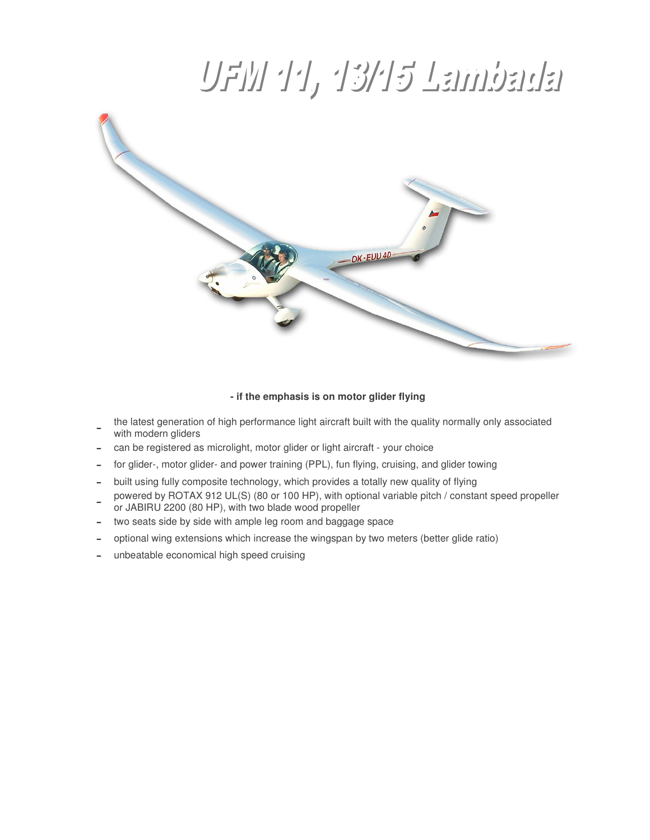# UFW 44, 43/45 Lambada



#### **- if the emphasis is on motor glider flying**

- the latest generation of high performance light aircraft built with the quality normally only associated with modern gliders
- can be registered as microlight, motor glider or light aircraft - your choice
- for glider-, motor glider- and power training (PPL), fun flying, cruising, and glider towing
- built using fully composite technology, which provides a totally new quality of flying
- powered by ROTAX 912 UL(S) (80 or 100 HP), with optional variable pitch / constant speed propeller or JABIRU 2200 (80 HP), with two blade wood propeller
- two seats side by side with ample leg room and baggage space
- optional wing extensions which increase the wingspan by two meters (better glide ratio)
- unbeatable economical high speed cruising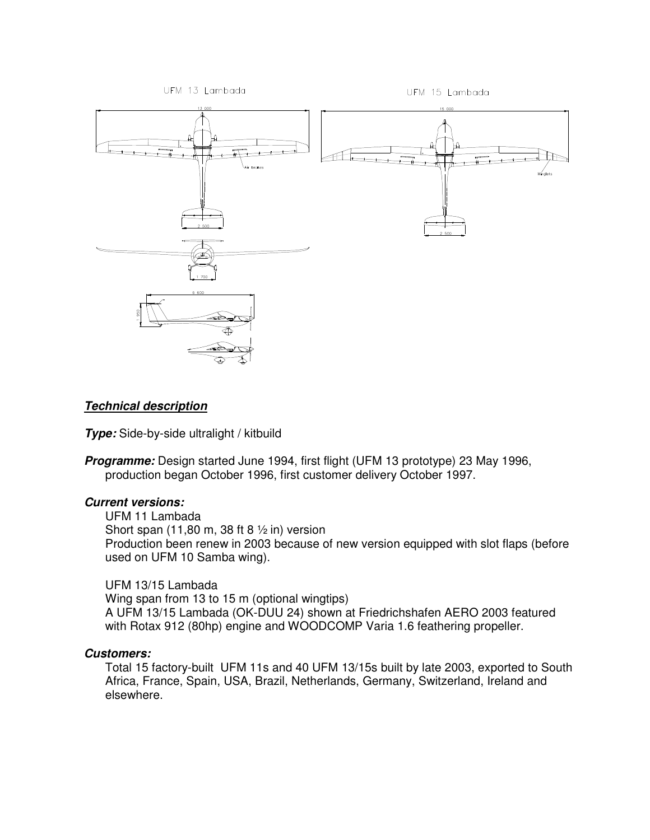

# *Technical description*

*Type:* Side-by-side ultralight / kitbuild

*Programme:* Design started June 1994, first flight (UFM 13 prototype) 23 May 1996, production began October 1996, first customer delivery October 1997.

## *Current versions:*

UFM 11 Lambada Short span (11,80 m, 38 ft 8  $\frac{1}{2}$  in) version Production been renew in 2003 because of new version equipped with slot flaps (before used on UFM 10 Samba wing).

#### UFM 13/15 Lambada

Wing span from 13 to 15 m (optional wingtips) A UFM 13/15 Lambada (OK-DUU 24) shown at Friedrichshafen AERO 2003 featured with Rotax 912 (80hp) engine and WOODCOMP Varia 1.6 feathering propeller.

## *Customers:*

Total 15 factory-built UFM 11s and 40 UFM 13/15s built by late 2003, exported to South Africa, France, Spain, USA, Brazil, Netherlands, Germany, Switzerland, Ireland and elsewhere.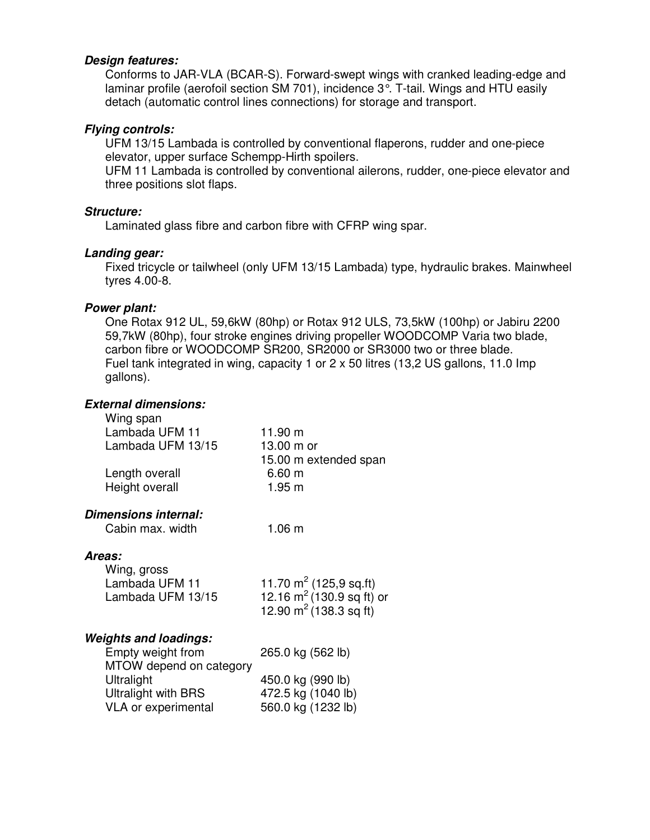#### *Design features:*

Conforms to JAR-VLA (BCAR-S). Forward-swept wings with cranked leading-edge and laminar profile (aerofoil section SM 701), incidence 3°. T-tail. Wings and HTU easily detach (automatic control lines connections) for storage and transport.

# *Flying controls:*

UFM 13/15 Lambada is controlled by conventional flaperons, rudder and one-piece elevator, upper surface Schempp-Hirth spoilers.

UFM 11 Lambada is controlled by conventional ailerons, rudder, one-piece elevator and three positions slot flaps.

## *Structure:*

Laminated glass fibre and carbon fibre with CFRP wing spar.

## *Landing gear:*

Fixed tricycle or tailwheel (only UFM 13/15 Lambada) type, hydraulic brakes. Mainwheel tyres 4.00-8.

# *Power plant:*

One Rotax 912 UL, 59,6kW (80hp) or Rotax 912 ULS, 73,5kW (100hp) or Jabiru 2200 59,7kW (80hp), four stroke engines driving propeller WOODCOMP Varia two blade, carbon fibre or WOODCOMP SR200, SR2000 or SR3000 two or three blade. Fuel tank integrated in wing, capacity 1 or 2 x 50 litres (13,2 US gallons, 11.0 Imp gallons).

# *External dimensions:*

| Wing span                    |                              |
|------------------------------|------------------------------|
| Lambada UFM 11               | 11.90 m                      |
| Lambada UFM 13/15            | 13.00 m or                   |
|                              | 15.00 m extended span        |
| Length overall               | 6.60 m                       |
| Height overall               | 1.95 <sub>m</sub>            |
| Dimensions internal:         |                              |
| Cabin max. width             | 1.06 <sub>m</sub>            |
| Areas:                       |                              |
| Wing, gross                  |                              |
| Lambada UFM 11               | 11.70 $m^2$ (125,9 sq.ft)    |
| Lambada UFM 13/15            | 12.16 $m^2$ (130.9 sq ft) or |
|                              | 12.90 $m^2$ (138.3 sq ft)    |
| <b>Weights and loadings:</b> |                              |
| Empty weight from            | 265.0 kg (562 lb)            |
| MTOW depend on category      |                              |
| Ultralight                   | 450.0 kg (990 lb)            |
| <b>Ultralight with BRS</b>   | 472.5 kg (1040 lb)           |
| <b>VLA or experimental</b>   | 560.0 kg (1232 lb)           |
|                              |                              |